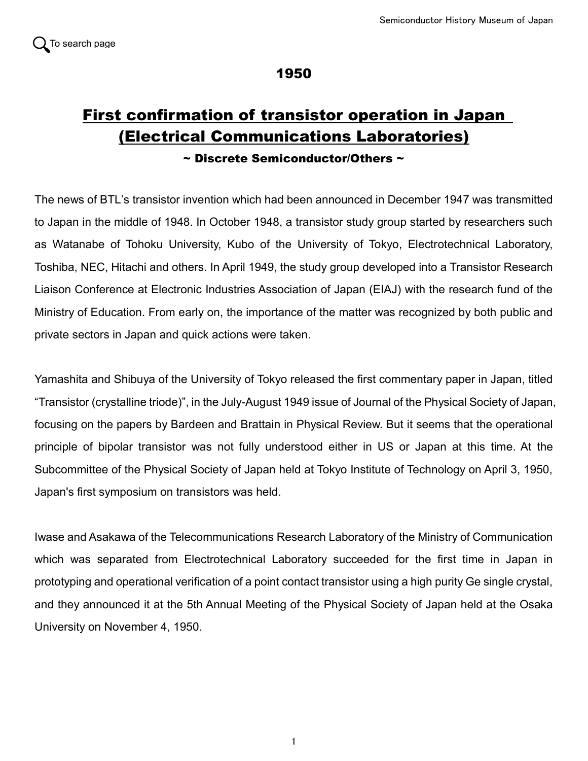

## 1950

# First confirmation of transistor operation in Japan (Electrical Communications Laboratories)

### $\sim$  Discrete Semiconductor/Others  $\sim$

The news of BTL's transistor invention which had been announced in December 1947 was transmitted to Japan in the middle of 1948. In October 1948, a transistor study group started by researchers such as Watanabe of Tohoku University, Kubo of the University of Tokyo, Electrotechnical Laboratory, Toshiba, NEC, Hitachi and others. In April 1949, the study group developed into a Transistor Research Liaison Conference at Electronic Industries Association of Japan (EIAJ) with the research fund of the Ministry of Education. From early on, the importance of the matter was recognized by both public and private sectors in Japan and quick actions were taken.

Yamashita and Shibuya of the University of Tokyo released the first commentary paper in Japan, titled "Transistor (crystalline triode)", in the July-August 1949 issue of Journal of the Physical Society of Japan, focusing on the papers by Bardeen and Brattain in Physical Review. But it seems that the operational principle of bipolar transistor was not fully understood either in US or Japan at this time. At the Subcommittee of the Physical Society of Japan held at Tokyo Institute of Technology on April 3, 1950, Japan's first symposium on transistors was held.

Iwase and Asakawa of the Telecommunications Research Laboratory of the Ministry of Communication which was separated from Electrotechnical Laboratory succeeded for the first time in Japan in prototyping and operational verification of a point contact transistor using a high purity Ge single crystal, and they announced it at the 5th Annual Meeting of the Physical Society of Japan held at the Osaka University on November 4, 1950.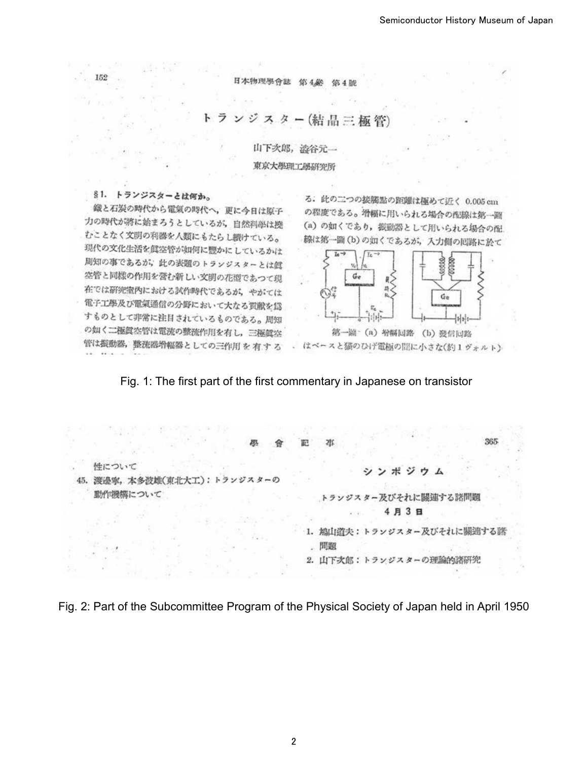日本物理题

ジスター(結晶三

山下次郎, 溢谷元一 東京大學理工學研究所

#### トランジスターとは何か。 § 1.

152

鐵と石炭の時代から電氣の時代へ、更に今日は原子 力の時代が將に始まろうとしているが、自然科學は撰 むことなく文明の利器を人類にもたらし続けている。 現代の文化生活を眞空管が如何に豐かにしているかは 周知の事であるが、此の表題のトランジスターとは眞 容管と同様の作用を営む新しい文明の花潤であつて現 在では研究室内における試作時代であるが、 やがては 電子工學及び電氣通信の分野において大なる買献を爲 すものとして非常に注目されているものである。周知 の如く二極眞空管は電流の整流作用を有し、三極眞空 管は振動器,整流器增幅器としての三作用を有する

る. 此の二つの接觸點の距離は極めて近く 0.005 cm の程度である。増幅に用いられる場合の配線は第一窗 (a) の如くであり、振動器として用いられる場合の配 線は第一圖(b)の如くであるが、入力側の囘路に於て



第一圖 (a) 增幅回路 (b) 發信回路 はベースと猫のひげ電極の間に小さな(約1ヴォルト)

#### Fig. 1: The first part of the first commentary in Japanese on transistor

365 鹛 **DIC** 性について ポジウム ラッジスターの 45. 渡邊寧, 本多波雄(東北大工) h. ÷ 動作機構について トランジスター及びそれに關連する諮問題 4月3日 1. 鳩山道夫:トランジスター及びそれに關連する話 問題 2. 山下次郎:トランジスターの理論的諸研究

Fig. 2: Part of the Subcommittee Program of the Physical Society of Japan held in April 1950